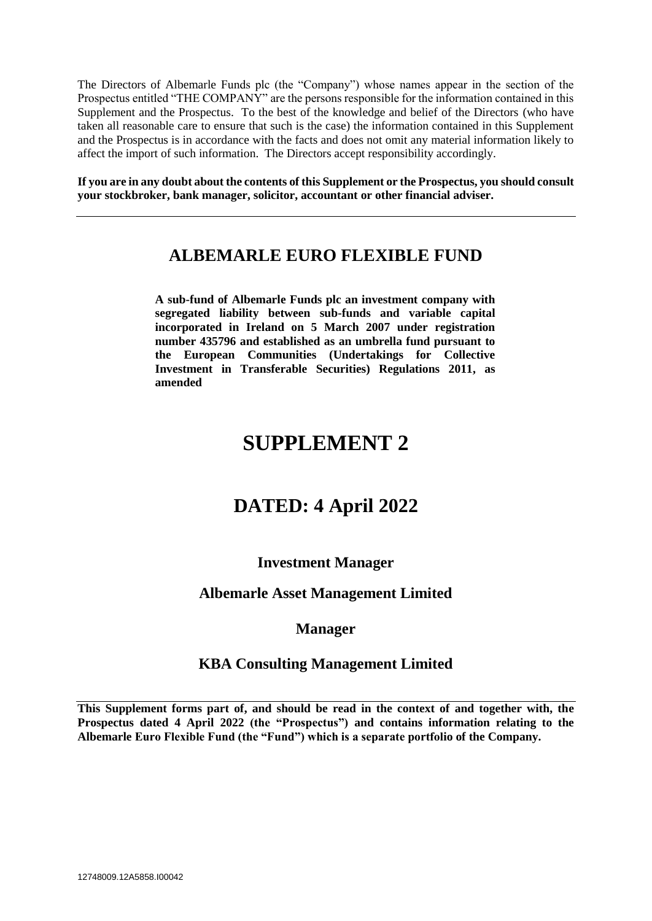The Directors of Albemarle Funds plc (the "Company") whose names appear in the section of the Prospectus entitled "THE COMPANY" are the persons responsible for the information contained in this Supplement and the Prospectus. To the best of the knowledge and belief of the Directors (who have taken all reasonable care to ensure that such is the case) the information contained in this Supplement and the Prospectus is in accordance with the facts and does not omit any material information likely to affect the import of such information. The Directors accept responsibility accordingly.

**If you are in any doubt about the contents of this Supplement or the Prospectus, you should consult your stockbroker, bank manager, solicitor, accountant or other financial adviser.**

# **ALBEMARLE EURO FLEXIBLE FUND**

**A sub-fund of Albemarle Funds plc an investment company with segregated liability between sub-funds and variable capital incorporated in Ireland on 5 March 2007 under registration number 435796 and established as an umbrella fund pursuant to the European Communities (Undertakings for Collective Investment in Transferable Securities) Regulations 2011, as amended**

# **SUPPLEMENT 2**

# **DATED: 4 April 2022**

# **Investment Manager**

# **Albemarle Asset Management Limited**

# **Manager**

# **KBA Consulting Management Limited**

**This Supplement forms part of, and should be read in the context of and together with, the Prospectus dated 4 April 2022 (the "Prospectus") and contains information relating to the Albemarle Euro Flexible Fund (the "Fund") which is a separate portfolio of the Company.**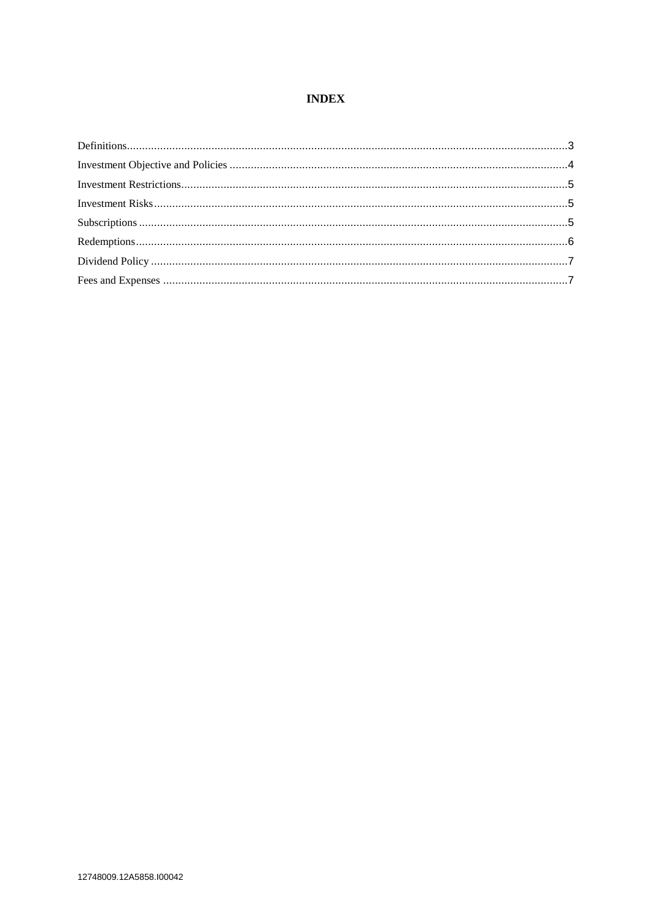## **INDEX**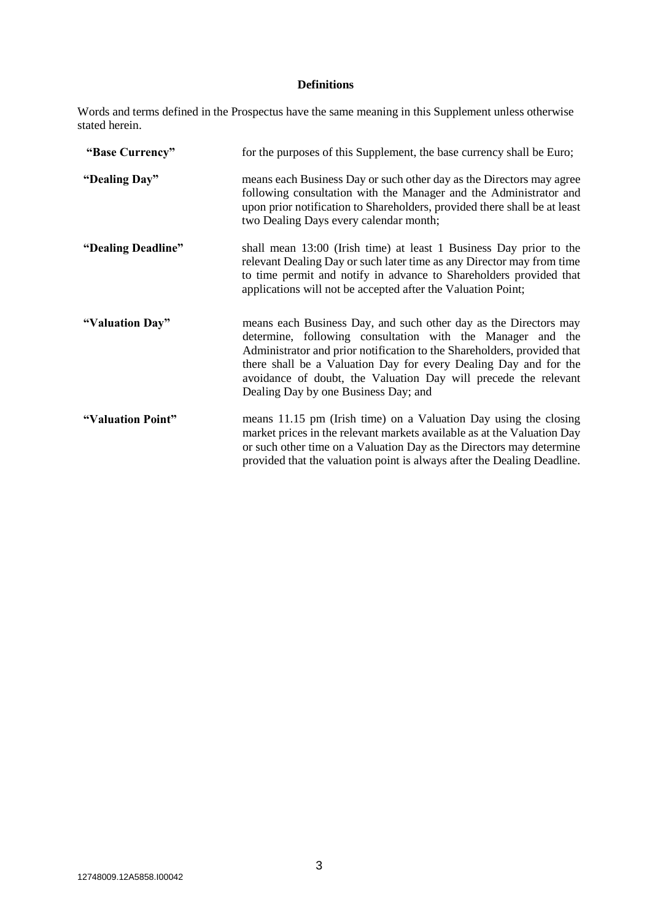## **Definitions**

Words and terms defined in the Prospectus have the same meaning in this Supplement unless otherwise stated herein.

| "Base Currency"    | for the purposes of this Supplement, the base currency shall be Euro;                                                                                                                                                                                                                                                                                                                    |
|--------------------|------------------------------------------------------------------------------------------------------------------------------------------------------------------------------------------------------------------------------------------------------------------------------------------------------------------------------------------------------------------------------------------|
| "Dealing Day"      | means each Business Day or such other day as the Directors may agree<br>following consultation with the Manager and the Administrator and<br>upon prior notification to Shareholders, provided there shall be at least<br>two Dealing Days every calendar month;                                                                                                                         |
| "Dealing Deadline" | shall mean 13:00 (Irish time) at least 1 Business Day prior to the<br>relevant Dealing Day or such later time as any Director may from time<br>to time permit and notify in advance to Shareholders provided that<br>applications will not be accepted after the Valuation Point;                                                                                                        |
| "Valuation Day"    | means each Business Day, and such other day as the Directors may<br>determine, following consultation with the Manager and the<br>Administrator and prior notification to the Shareholders, provided that<br>there shall be a Valuation Day for every Dealing Day and for the<br>avoidance of doubt, the Valuation Day will precede the relevant<br>Dealing Day by one Business Day; and |
| "Valuation Point"  | means 11.15 pm (Irish time) on a Valuation Day using the closing<br>market prices in the relevant markets available as at the Valuation Day<br>or such other time on a Valuation Day as the Directors may determine<br>provided that the valuation point is always after the Dealing Deadline.                                                                                           |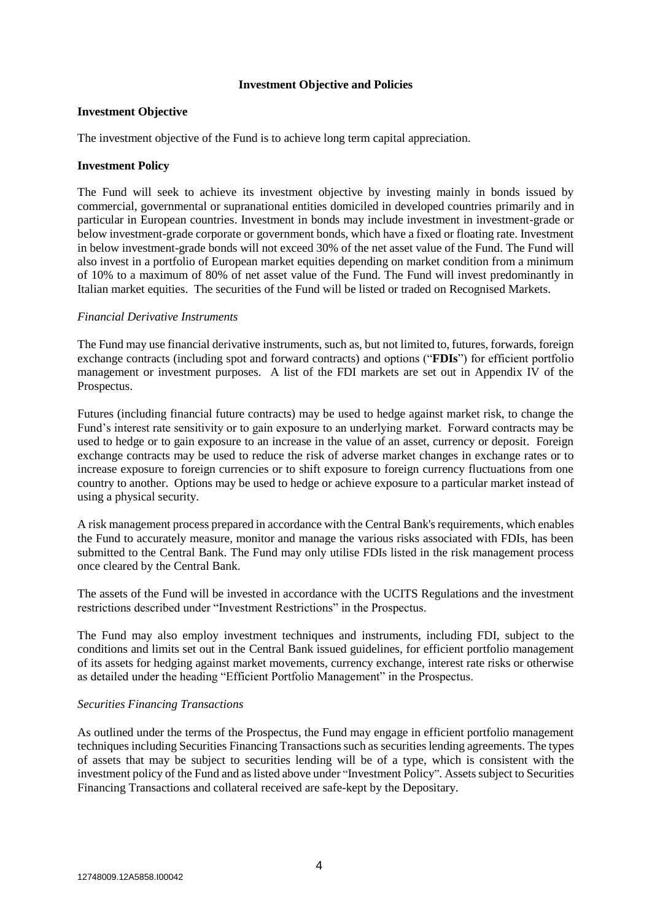## **Investment Objective and Policies**

#### **Investment Objective**

The investment objective of the Fund is to achieve long term capital appreciation.

#### **Investment Policy**

The Fund will seek to achieve its investment objective by investing mainly in bonds issued by commercial, governmental or supranational entities domiciled in developed countries primarily and in particular in European countries. Investment in bonds may include investment in investment-grade or below investment-grade corporate or government bonds, which have a fixed or floating rate. Investment in below investment-grade bonds will not exceed 30% of the net asset value of the Fund. The Fund will also invest in a portfolio of European market equities depending on market condition from a minimum of 10% to a maximum of 80% of net asset value of the Fund. The Fund will invest predominantly in Italian market equities. The securities of the Fund will be listed or traded on Recognised Markets.

#### *Financial Derivative Instruments*

The Fund may use financial derivative instruments, such as, but not limited to, futures, forwards, foreign exchange contracts (including spot and forward contracts) and options ("**FDIs**") for efficient portfolio management or investment purposes. A list of the FDI markets are set out in Appendix IV of the Prospectus.

Futures (including financial future contracts) may be used to hedge against market risk, to change the Fund's interest rate sensitivity or to gain exposure to an underlying market. Forward contracts may be used to hedge or to gain exposure to an increase in the value of an asset, currency or deposit. Foreign exchange contracts may be used to reduce the risk of adverse market changes in exchange rates or to increase exposure to foreign currencies or to shift exposure to foreign currency fluctuations from one country to another. Options may be used to hedge or achieve exposure to a particular market instead of using a physical security.

A risk management process prepared in accordance with the Central Bank's requirements, which enables the Fund to accurately measure, monitor and manage the various risks associated with FDIs, has been submitted to the Central Bank. The Fund may only utilise FDIs listed in the risk management process once cleared by the Central Bank.

The assets of the Fund will be invested in accordance with the UCITS Regulations and the investment restrictions described under "Investment Restrictions" in the Prospectus.

The Fund may also employ investment techniques and instruments, including FDI, subject to the conditions and limits set out in the Central Bank issued guidelines, for efficient portfolio management of its assets for hedging against market movements, currency exchange, interest rate risks or otherwise as detailed under the heading "Efficient Portfolio Management" in the Prospectus.

#### *Securities Financing Transactions*

As outlined under the terms of the Prospectus, the Fund may engage in efficient portfolio management techniques including Securities Financing Transactions such as securities lending agreements. The types of assets that may be subject to securities lending will be of a type, which is consistent with the investment policy of the Fund and as listed above under "Investment Policy". Assets subject to Securities Financing Transactions and collateral received are safe-kept by the Depositary.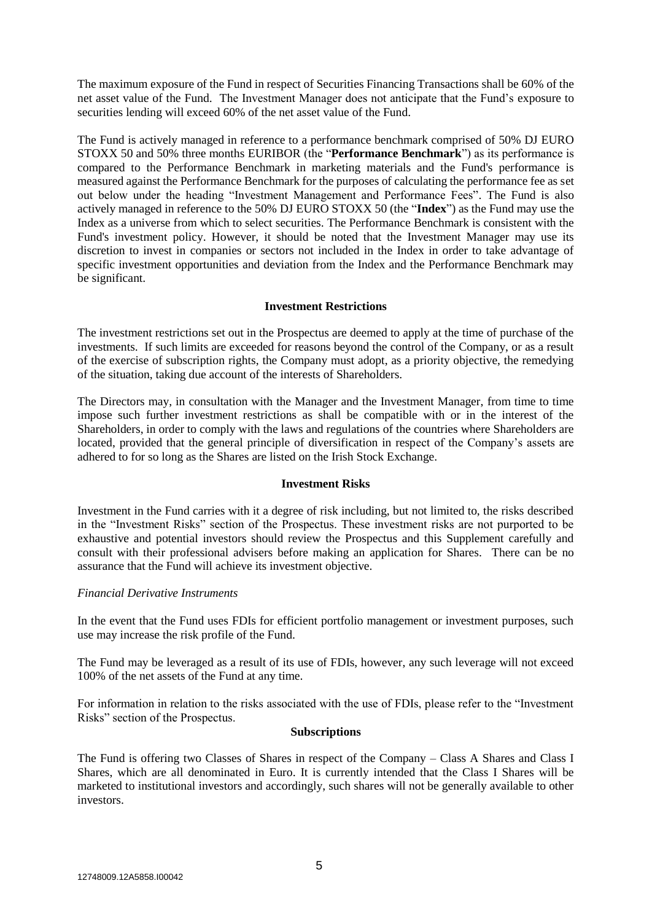The maximum exposure of the Fund in respect of Securities Financing Transactions shall be 60% of the net asset value of the Fund. The Investment Manager does not anticipate that the Fund's exposure to securities lending will exceed 60% of the net asset value of the Fund.

The Fund is actively managed in reference to a performance benchmark comprised of 50% DJ EURO STOXX 50 and 50% three months EURIBOR (the "**Performance Benchmark**") as its performance is compared to the Performance Benchmark in marketing materials and the Fund's performance is measured against the Performance Benchmark for the purposes of calculating the performance fee as set out below under the heading "Investment Management and Performance Fees". The Fund is also actively managed in reference to the 50% DJ EURO STOXX 50 (the "**Index**") as the Fund may use the Index as a universe from which to select securities. The Performance Benchmark is consistent with the Fund's investment policy. However, it should be noted that the Investment Manager may use its discretion to invest in companies or sectors not included in the Index in order to take advantage of specific investment opportunities and deviation from the Index and the Performance Benchmark may be significant.

#### **Investment Restrictions**

The investment restrictions set out in the Prospectus are deemed to apply at the time of purchase of the investments. If such limits are exceeded for reasons beyond the control of the Company, or as a result of the exercise of subscription rights, the Company must adopt, as a priority objective, the remedying of the situation, taking due account of the interests of Shareholders.

The Directors may, in consultation with the Manager and the Investment Manager, from time to time impose such further investment restrictions as shall be compatible with or in the interest of the Shareholders, in order to comply with the laws and regulations of the countries where Shareholders are located, provided that the general principle of diversification in respect of the Company's assets are adhered to for so long as the Shares are listed on the Irish Stock Exchange.

#### **Investment Risks**

Investment in the Fund carries with it a degree of risk including, but not limited to, the risks described in the "Investment Risks" section of the Prospectus. These investment risks are not purported to be exhaustive and potential investors should review the Prospectus and this Supplement carefully and consult with their professional advisers before making an application for Shares. There can be no assurance that the Fund will achieve its investment objective.

#### *Financial Derivative Instruments*

In the event that the Fund uses FDIs for efficient portfolio management or investment purposes, such use may increase the risk profile of the Fund.

The Fund may be leveraged as a result of its use of FDIs, however, any such leverage will not exceed 100% of the net assets of the Fund at any time.

For information in relation to the risks associated with the use of FDIs, please refer to the "Investment Risks" section of the Prospectus.

#### **Subscriptions**

The Fund is offering two Classes of Shares in respect of the Company – Class A Shares and Class I Shares, which are all denominated in Euro. It is currently intended that the Class I Shares will be marketed to institutional investors and accordingly, such shares will not be generally available to other investors.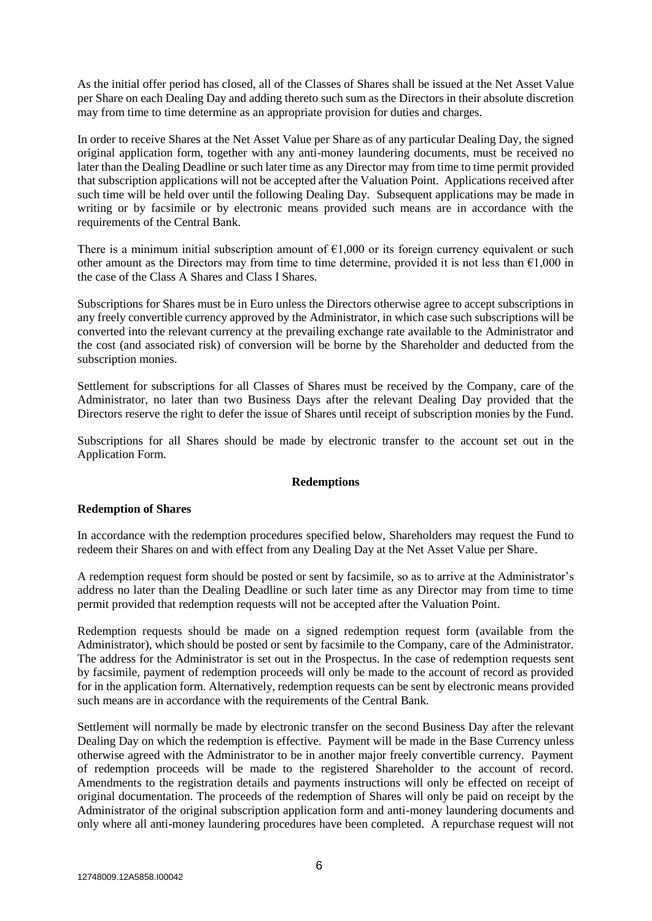As the initial offer period has closed, all of the Classes of Shares shall be issued at the Net Asset Value per Share on each Dealing Day and adding thereto such sum as the Directors in their absolute discretion may from time to time determine as an appropriate provision for duties and charges.

In order to receive Shares at the Net Asset Value per Share as of any particular Dealing Day, the signed original application form, together with any anti-money laundering documents, must be received no later than the Dealing Deadline or such later time as any Director may from time to time permit provided that subscription applications will not be accepted after the Valuation Point. Applications received after such time will be held over until the following Dealing Day. Subsequent applications may be made in writing or by facsimile or by electronic means provided such means are in accordance with the requirements of the Central Bank.

There is a minimum initial subscription amount of  $\epsilon$ 1,000 or its foreign currency equivalent or such other amount as the Directors may from time to time determine, provided it is not less than  $\epsilon$ 1,000 in the case of the Class A Shares and Class I Shares.

Subscriptions for Shares must be in Euro unless the Directors otherwise agree to accept subscriptions in any freely convertible currency approved by the Administrator, in which case such subscriptions will be converted into the relevant currency at the prevailing exchange rate available to the Administrator and the cost (and associated risk) of conversion will be borne by the Shareholder and deducted from the subscription monies.

Settlement for subscriptions for all Classes of Shares must be received by the Company, care of the Administrator, no later than two Business Days after the relevant Dealing Day provided that the Directors reserve the right to defer the issue of Shares until receipt of subscription monies by the Fund.

Subscriptions for all Shares should be made by electronic transfer to the account set out in the Application Form.

#### **Redemptions**

#### **Redemption of Shares**

In accordance with the redemption procedures specified below, Shareholders may request the Fund to redeem their Shares on and with effect from any Dealing Day at the Net Asset Value per Share.

A redemption request form should be posted or sent by facsimile, so as to arrive at the Administrator's address no later than the Dealing Deadline or such later time as any Director may from time to time permit provided that redemption requests will not be accepted after the Valuation Point.

Redemption requests should be made on a signed redemption request form (available from the Administrator), which should be posted or sent by facsimile to the Company, care of the Administrator. The address for the Administrator is set out in the Prospectus. In the case of redemption requests sent by facsimile, payment of redemption proceeds will only be made to the account of record as provided for in the application form. Alternatively, redemption requests can be sent by electronic means provided such means are in accordance with the requirements of the Central Bank.

Settlement will normally be made by electronic transfer on the second Business Day after the relevant Dealing Day on which the redemption is effective. Payment will be made in the Base Currency unless otherwise agreed with the Administrator to be in another major freely convertible currency. Payment of redemption proceeds will be made to the registered Shareholder to the account of record. Amendments to the registration details and payments instructions will only be effected on receipt of original documentation. The proceeds of the redemption of Shares will only be paid on receipt by the Administrator of the original subscription application form and anti-money laundering documents and only where all anti-money laundering procedures have been completed. A repurchase request will not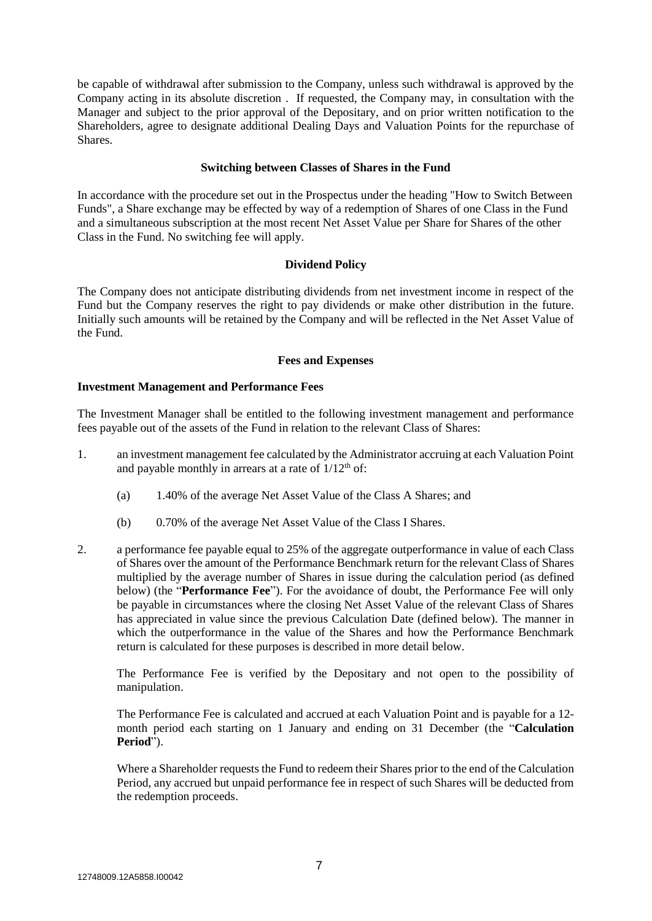be capable of withdrawal after submission to the Company, unless such withdrawal is approved by the Company acting in its absolute discretion . If requested, the Company may, in consultation with the Manager and subject to the prior approval of the Depositary, and on prior written notification to the Shareholders, agree to designate additional Dealing Days and Valuation Points for the repurchase of Shares.

### **Switching between Classes of Shares in the Fund**

In accordance with the procedure set out in the Prospectus under the heading "How to Switch Between Funds", a Share exchange may be effected by way of a redemption of Shares of one Class in the Fund and a simultaneous subscription at the most recent Net Asset Value per Share for Shares of the other Class in the Fund. No switching fee will apply.

#### **Dividend Policy**

The Company does not anticipate distributing dividends from net investment income in respect of the Fund but the Company reserves the right to pay dividends or make other distribution in the future. Initially such amounts will be retained by the Company and will be reflected in the Net Asset Value of the Fund.

#### **Fees and Expenses**

#### **Investment Management and Performance Fees**

The Investment Manager shall be entitled to the following investment management and performance fees payable out of the assets of the Fund in relation to the relevant Class of Shares:

- 1. an investment management fee calculated by the Administrator accruing at each Valuation Point and payable monthly in arrears at a rate of  $1/12<sup>th</sup>$  of:
	- (a) 1.40% of the average Net Asset Value of the Class A Shares; and
	- (b) 0.70% of the average Net Asset Value of the Class I Shares.
- 2. a performance fee payable equal to 25% of the aggregate outperformance in value of each Class of Shares over the amount of the Performance Benchmark return for the relevant Class of Shares multiplied by the average number of Shares in issue during the calculation period (as defined below) (the "**Performance Fee**"). For the avoidance of doubt, the Performance Fee will only be payable in circumstances where the closing Net Asset Value of the relevant Class of Shares has appreciated in value since the previous Calculation Date (defined below). The manner in which the outperformance in the value of the Shares and how the Performance Benchmark return is calculated for these purposes is described in more detail below.

The Performance Fee is verified by the Depositary and not open to the possibility of manipulation.

The Performance Fee is calculated and accrued at each Valuation Point and is payable for a 12 month period each starting on 1 January and ending on 31 December (the "**Calculation Period**").

Where a Shareholder requests the Fund to redeem their Shares prior to the end of the Calculation Period, any accrued but unpaid performance fee in respect of such Shares will be deducted from the redemption proceeds.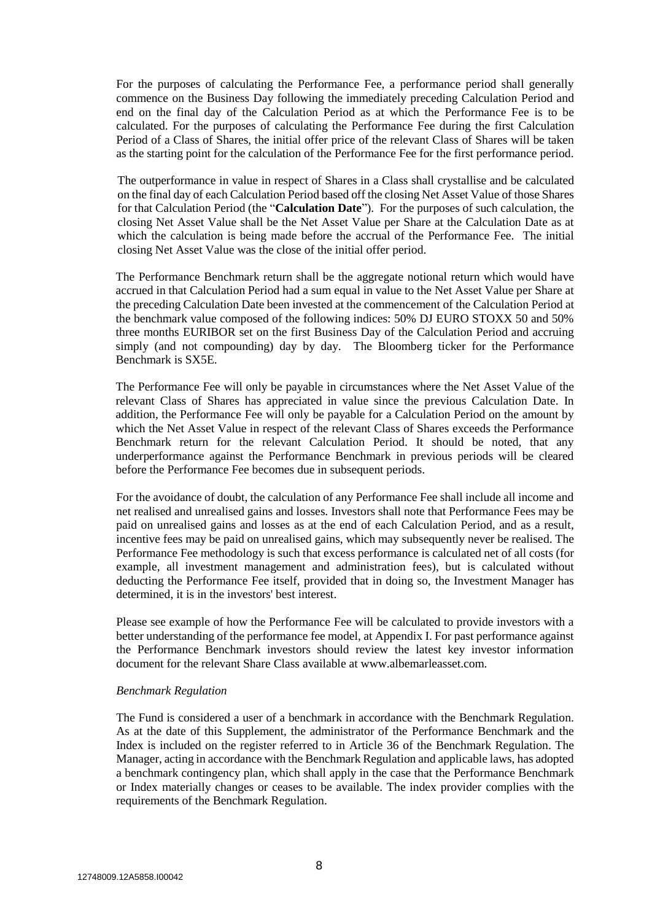For the purposes of calculating the Performance Fee, a performance period shall generally commence on the Business Day following the immediately preceding Calculation Period and end on the final day of the Calculation Period as at which the Performance Fee is to be calculated. For the purposes of calculating the Performance Fee during the first Calculation Period of a Class of Shares, the initial offer price of the relevant Class of Shares will be taken as the starting point for the calculation of the Performance Fee for the first performance period.

The outperformance in value in respect of Shares in a Class shall crystallise and be calculated on the final day of each Calculation Period based off the closing Net Asset Value of those Shares for that Calculation Period (the "**Calculation Date**"). For the purposes of such calculation, the closing Net Asset Value shall be the Net Asset Value per Share at the Calculation Date as at which the calculation is being made before the accrual of the Performance Fee. The initial closing Net Asset Value was the close of the initial offer period.

The Performance Benchmark return shall be the aggregate notional return which would have accrued in that Calculation Period had a sum equal in value to the Net Asset Value per Share at the preceding Calculation Date been invested at the commencement of the Calculation Period at the benchmark value composed of the following indices: 50% DJ EURO STOXX 50 and 50% three months EURIBOR set on the first Business Day of the Calculation Period and accruing simply (and not compounding) day by day. The Bloomberg ticker for the Performance Benchmark is SX5E.

The Performance Fee will only be payable in circumstances where the Net Asset Value of the relevant Class of Shares has appreciated in value since the previous Calculation Date. In addition, the Performance Fee will only be payable for a Calculation Period on the amount by which the Net Asset Value in respect of the relevant Class of Shares exceeds the Performance Benchmark return for the relevant Calculation Period. It should be noted, that any underperformance against the Performance Benchmark in previous periods will be cleared before the Performance Fee becomes due in subsequent periods.

For the avoidance of doubt, the calculation of any Performance Fee shall include all income and net realised and unrealised gains and losses. Investors shall note that Performance Fees may be paid on unrealised gains and losses as at the end of each Calculation Period, and as a result, incentive fees may be paid on unrealised gains, which may subsequently never be realised. The Performance Fee methodology is such that excess performance is calculated net of all costs (for example, all investment management and administration fees), but is calculated without deducting the Performance Fee itself, provided that in doing so, the Investment Manager has determined, it is in the investors' best interest.

Please see example of how the Performance Fee will be calculated to provide investors with a better understanding of the performance fee model, at Appendix I. For past performance against the Performance Benchmark investors should review the latest key investor information document for the relevant Share Class available at www.albemarleasset.com.

#### *Benchmark Regulation*

The Fund is considered a user of a benchmark in accordance with the Benchmark Regulation. As at the date of this Supplement, the administrator of the Performance Benchmark and the Index is included on the register referred to in Article 36 of the Benchmark Regulation. The Manager, acting in accordance with the Benchmark Regulation and applicable laws, has adopted a benchmark contingency plan, which shall apply in the case that the Performance Benchmark or Index materially changes or ceases to be available. The index provider complies with the requirements of the Benchmark Regulation.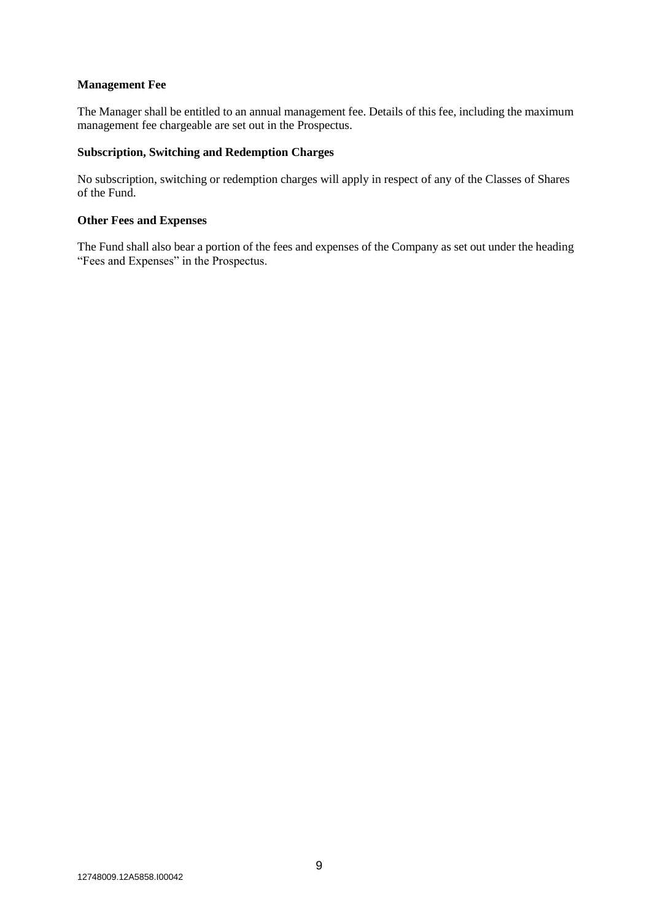### **Management Fee**

The Manager shall be entitled to an annual management fee. Details of this fee, including the maximum management fee chargeable are set out in the Prospectus.

## **Subscription, Switching and Redemption Charges**

No subscription, switching or redemption charges will apply in respect of any of the Classes of Shares of the Fund.

#### **Other Fees and Expenses**

The Fund shall also bear a portion of the fees and expenses of the Company as set out under the heading "Fees and Expenses" in the Prospectus.